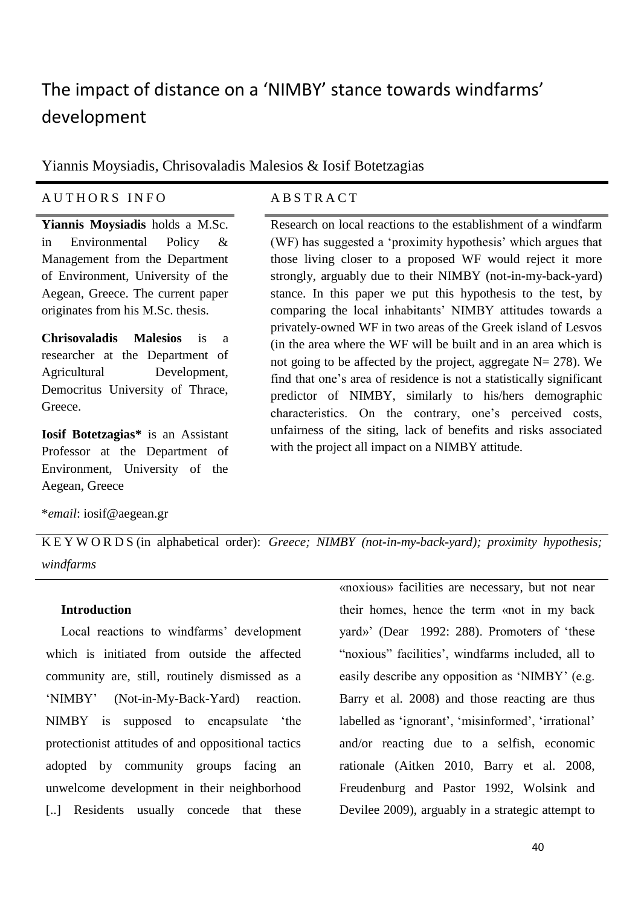# The impact of distance on a 'NIMBY' stance towards windfarms' development

Yiannis Moysiadis, Chrisovaladis Malesios & Iosif Botetzagias

### A U T H O R S I N F O A B S T R A C T

**Yiannis Moysiadis** holds a M.Sc. in Environmental Policy & Management from the Department of Environment, University of the Aegean, Greece. The current paper originates from his M.Sc. thesis.

**Chrisovaladis Malesios** is a researcher at the Department of Agricultural Development, Democritus University of Thrace, Greece.

**Iosif Botetzagias\*** is an Assistant Professor at the Department of Environment, University of the Aegean, Greece

Research on local reactions to the establishment of a windfarm (WF) has suggested a 'proximity hypothesis' which argues that those living closer to a proposed WF would reject it more strongly, arguably due to their NIMBY (not-in-my-back-yard) stance. In this paper we put this hypothesis to the test, by comparing the local inhabitants' NIMBY attitudes towards a privately-owned WF in two areas of the Greek island of Lesvos (in the area where the WF will be built and in an area which is not going to be affected by the project, aggregate  $N = 278$ ). We find that one's area of residence is not a statistically significant predictor of NIMBY, similarly to his/hers demographic characteristics. On the contrary, one's perceived costs, unfairness of the siting, lack of benefits and risks associated with the project all impact on a NIMBY attitude.

\**email*: iosif@aegean.gr

K E Y W O R D S (in alphabetical order): *Greece; NIMBY (not-in-my-back-yard); proximity hypothesis; windfarms*

#### **Introduction**

Local reactions to windfarms' development which is initiated from outside the affected community are, still, routinely dismissed as a 'NIMBY' (Not-in-My-Back-Yard) reaction. NIMBY is supposed to encapsulate 'the protectionist attitudes of and oppositional tactics adopted by community groups facing an unwelcome development in their neighborhood [..] Residents usually concede that these «noxious» facilities are necessary, but not near their homes, hence the term «not in my back yard»' (Dear 1992: 288). Promoters of 'these "noxious" facilities', windfarms included, all to easily describe any opposition as 'NIMBY' (e.g. Barry et al. 2008) and those reacting are thus labelled as 'ignorant', 'misinformed', 'irrational' and/or reacting due to a selfish, economic rationale (Aitken 2010, Barry et al. 2008, Freudenburg and Pastor 1992, Wolsink and Devilee 2009), arguably in a strategic attempt to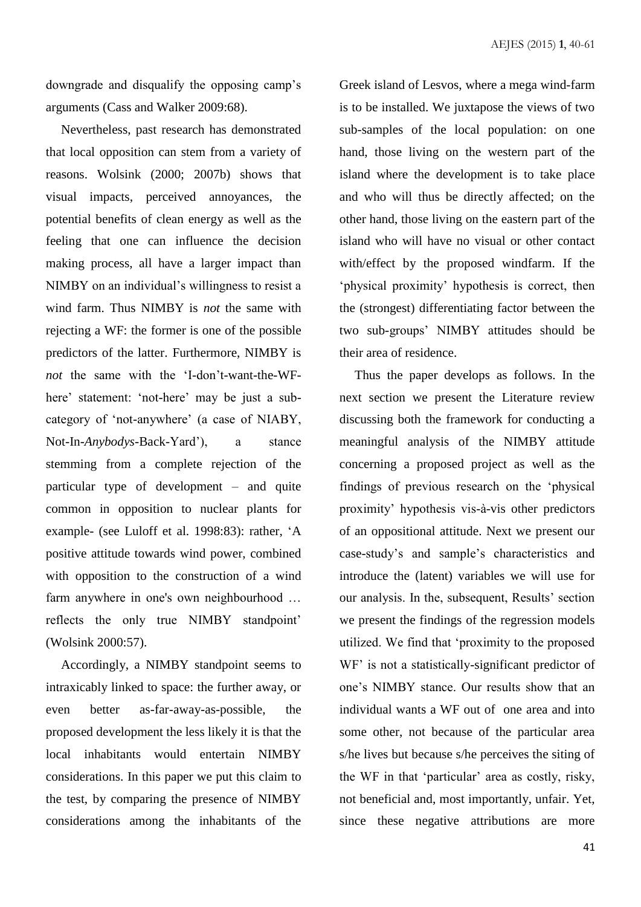downgrade and disqualify the opposing camp's arguments (Cass and Walker 2009:68).

Nevertheless, past research has demonstrated that local opposition can stem from a variety of reasons. Wolsink (2000; 2007b) shows that visual impacts, perceived annoyances, the potential benefits of clean energy as well as the feeling that one can influence the decision making process, all have a larger impact than NIMBY on an individual's willingness to resist a wind farm. Thus NIMBY is *not* the same with rejecting a WF: the former is one of the possible predictors of the latter. Furthermore, NIMBY is *not* the same with the 'I-don't-want-the-WFhere' statement: 'not-here' may be just a subcategory of 'not-anywhere' (a case of NIABY, Not-In-*Anybodys*-Back-Yard'), a stance stemming from a complete rejection of the particular type of development – and quite common in opposition to nuclear plants for example- (see Luloff et al. 1998:83): rather, 'A positive attitude towards wind power, combined with opposition to the construction of a wind farm anywhere in one's own neighbourhood … reflects the only true NIMBY standpoint' (Wolsink 2000:57).

Accordingly, a NIMBY standpoint seems to intraxicably linked to space: the further away, or even better as-far-away-as-possible, the proposed development the less likely it is that the local inhabitants would entertain NIMBY considerations. In this paper we put this claim to the test, by comparing the presence of NIMBY considerations among the inhabitants of the Greek island of Lesvos, where a mega wind-farm is to be installed. We juxtapose the views of two sub-samples of the local population: on one hand, those living on the western part of the island where the development is to take place and who will thus be directly affected; on the other hand, those living on the eastern part of the island who will have no visual or other contact with/effect by the proposed windfarm. If the 'physical proximity' hypothesis is correct, then the (strongest) differentiating factor between the two sub-groups' NIMBY attitudes should be their area of residence.

Thus the paper develops as follows. In the next section we present the Literature review discussing both the framework for conducting a meaningful analysis of the NIMBY attitude concerning a proposed project as well as the findings of previous research on the 'physical proximity' hypothesis vis-à-vis other predictors of an oppositional attitude. Next we present our case-study's and sample's characteristics and introduce the (latent) variables we will use for our analysis. In the, subsequent, Results' section we present the findings of the regression models utilized. We find that 'proximity to the proposed WF' is not a statistically-significant predictor of one's NIMBY stance. Our results show that an individual wants a WF out of one area and into some other, not because of the particular area s/he lives but because s/he perceives the siting of the WF in that 'particular' area as costly, risky, not beneficial and, most importantly, unfair. Yet, since these negative attributions are more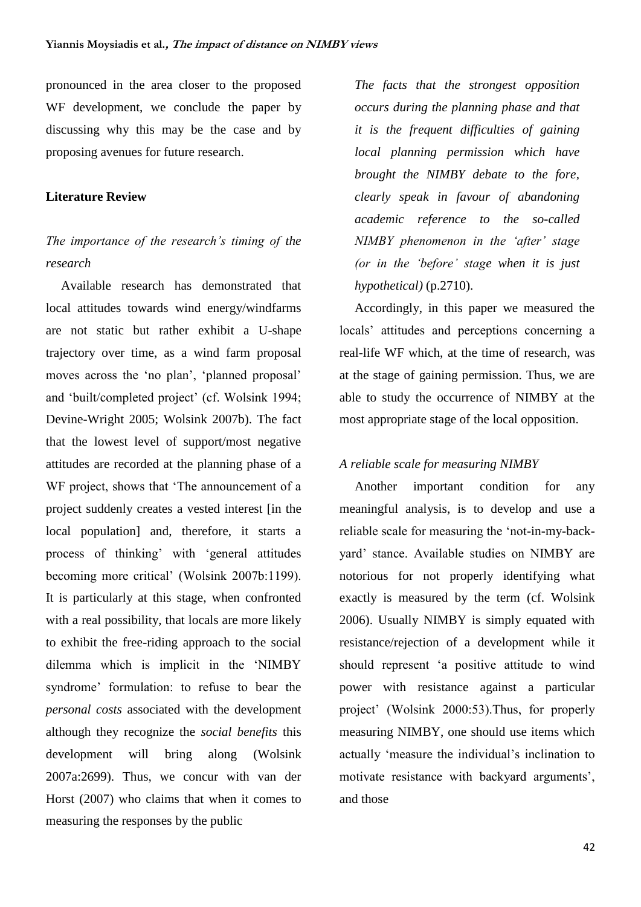pronounced in the area closer to the proposed WF development, we conclude the paper by discussing why this may be the case and by proposing avenues for future research.

#### **Literature Review**

# *The importance of the research's timing of the research*

Available research has demonstrated that local attitudes towards wind energy/windfarms are not static but rather exhibit a U-shape trajectory over time, as a wind farm proposal moves across the 'no plan', 'planned proposal' and 'built/completed project' (cf. Wolsink 1994; Devine-Wright 2005; Wolsink 2007b). The fact that the lowest level of support/most negative attitudes are recorded at the planning phase of a WF project, shows that 'The announcement of a project suddenly creates a vested interest [in the local population] and, therefore, it starts a process of thinking' with 'general attitudes becoming more critical' (Wolsink 2007b:1199). It is particularly at this stage, when confronted with a real possibility, that locals are more likely to exhibit the free-riding approach to the social dilemma which is implicit in the 'NIMBY syndrome' formulation: to refuse to bear the *personal costs* associated with the development although they recognize the *social benefits* this development will bring along (Wolsink 2007a:2699). Thus, we concur with van der Horst (2007) who claims that when it comes to measuring the responses by the public

*The facts that the strongest opposition occurs during the planning phase and that it is the frequent difficulties of gaining local planning permission which have brought the NIMBY debate to the fore, clearly speak in favour of abandoning academic reference to the so-called NIMBY phenomenon in the 'after' stage (or in the 'before' stage when it is just hypothetical)* (p.2710).

Accordingly, in this paper we measured the locals' attitudes and perceptions concerning a real-life WF which, at the time of research, was at the stage of gaining permission. Thus, we are able to study the occurrence of NIMBY at the most appropriate stage of the local opposition.

#### *A reliable scale for measuring NIMBY*

Another important condition for any meaningful analysis, is to develop and use a reliable scale for measuring the 'not-in-my-backyard' stance. Available studies on NIMBY are notorious for not properly identifying what exactly is measured by the term (cf. Wolsink 2006). Usually NIMBY is simply equated with resistance/rejection of a development while it should represent 'a positive attitude to wind power with resistance against a particular project' (Wolsink 2000:53).Thus, for properly measuring NIMBY, one should use items which actually 'measure the individual's inclination to motivate resistance with backyard arguments', and those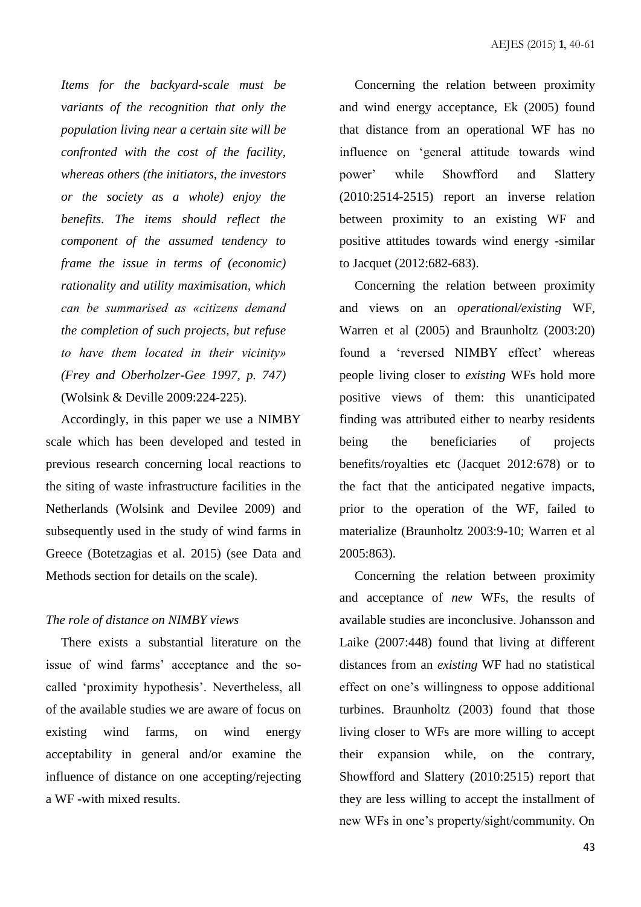*Items for the backyard-scale must be variants of the recognition that only the population living near a certain site will be confronted with the cost of the facility, whereas others (the initiators, the investors or the society as a whole) enjoy the benefits. The items should reflect the component of the assumed tendency to frame the issue in terms of (economic) rationality and utility maximisation, which can be summarised as «citizens demand the completion of such projects, but refuse to have them located in their vicinity» (Frey and Oberholzer-Gee 1997, p. 747)* (Wolsink & Deville 2009:224-225).

Accordingly, in this paper we use a NIMBY scale which has been developed and tested in previous research concerning local reactions to the siting of waste infrastructure facilities in the Netherlands (Wolsink and Devilee 2009) and subsequently used in the study of wind farms in Greece (Botetzagias et al. 2015) (see Data and Methods section for details on the scale).

#### *The role of distance on NIMBY views*

There exists a substantial literature on the issue of wind farms' acceptance and the socalled 'proximity hypothesis'. Nevertheless, all of the available studies we are aware of focus on existing wind farms, on wind energy acceptability in general and/or examine the influence of distance on one accepting/rejecting a WF -with mixed results.

Concerning the relation between proximity and wind energy acceptance, Ek (2005) found that distance from an operational WF has no influence on 'general attitude towards wind power' while Showfford and Slattery (2010:2514-2515) report an inverse relation between proximity to an existing WF and positive attitudes towards wind energy -similar to Jacquet (2012:682-683).

Concerning the relation between proximity and views on an *operational/existing* WF, Warren et al (2005) and Braunholtz (2003:20) found a 'reversed NIMBY effect' whereas people living closer to *existing* WFs hold more positive views of them: this unanticipated finding was attributed either to nearby residents being the beneficiaries of projects benefits/royalties etc (Jacquet 2012:678) or to the fact that the anticipated negative impacts, prior to the operation of the WF, failed to materialize (Braunholtz 2003:9-10; Warren et al 2005:863).

Concerning the relation between proximity and acceptance of *new* WFs, the results of available studies are inconclusive. Johansson and Laike (2007:448) found that living at different distances from an *existing* WF had no statistical effect on one's willingness to oppose additional turbines. Braunholtz (2003) found that those living closer to WFs are more willing to accept their expansion while, on the contrary, Showfford and Slattery (2010:2515) report that they are less willing to accept the installment of new WFs in one's property/sight/community. On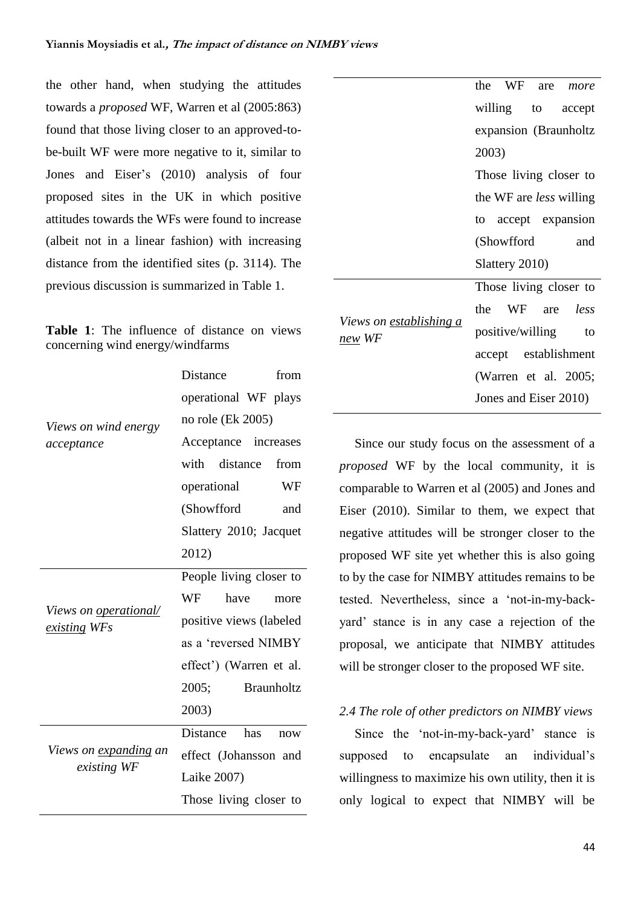the other hand, when studying the attitudes towards a *proposed* WF, Warren et al (2005:863) found that those living closer to an approved-tobe-built WF were more negative to it, similar to Jones and Eiser's (2010) analysis of four proposed sites in the UK in which positive attitudes towards the WFs were found to increase (albeit not in a linear fashion) with increasing distance from the identified sites (p. 3114). The previous discussion is summarized in Table 1.

|  | <b>Table 1:</b> The influence of distance on views |  |  |
|--|----------------------------------------------------|--|--|
|  | concerning wind energy/windfarms                   |  |  |

|                                                     | Distance<br>from           |  |  |  |  |
|-----------------------------------------------------|----------------------------|--|--|--|--|
|                                                     | operational WF plays       |  |  |  |  |
| Views on wind energy                                | no role (Ek 2005)          |  |  |  |  |
| acceptance                                          | Acceptance increases       |  |  |  |  |
|                                                     | with<br>distance<br>from   |  |  |  |  |
|                                                     | WF<br>operational          |  |  |  |  |
|                                                     | (Showfford<br>and          |  |  |  |  |
|                                                     | Slattery 2010; Jacquet     |  |  |  |  |
|                                                     | 2012)                      |  |  |  |  |
|                                                     | People living closer to    |  |  |  |  |
|                                                     | WF<br>have<br>more         |  |  |  |  |
| <i>Views on <u>operational/</u></i><br>existing WFs | positive views (labeled    |  |  |  |  |
|                                                     | as a 'reversed NIMBY       |  |  |  |  |
|                                                     | effect') (Warren et al.    |  |  |  |  |
|                                                     | <b>Braunholtz</b><br>2005; |  |  |  |  |
|                                                     | 2003)                      |  |  |  |  |
|                                                     | Distance<br>has<br>now     |  |  |  |  |
| Views on <u>expanding</u> an                        | effect (Johansson and      |  |  |  |  |
| existing WF                                         | Laike 2007)                |  |  |  |  |
|                                                     | Those living closer to     |  |  |  |  |

|                                                        | the WF are more                |  |  |  |  |
|--------------------------------------------------------|--------------------------------|--|--|--|--|
|                                                        | willing to accept              |  |  |  |  |
|                                                        | expansion (Braunholtz          |  |  |  |  |
|                                                        | 2003)                          |  |  |  |  |
|                                                        | Those living closer to         |  |  |  |  |
|                                                        | the WF are <i>less</i> willing |  |  |  |  |
|                                                        | to accept expansion            |  |  |  |  |
|                                                        | (Showfford<br>and              |  |  |  |  |
|                                                        | Slattery 2010)                 |  |  |  |  |
|                                                        | Those living closer to         |  |  |  |  |
|                                                        | the WF are less                |  |  |  |  |
| <i>Views on <u>establishing a</u></i><br><u>new</u> WF | positive/willing<br>to         |  |  |  |  |
|                                                        | accept establishment           |  |  |  |  |
|                                                        | (Warren et al. 2005;           |  |  |  |  |
|                                                        | Jones and Eiser 2010)          |  |  |  |  |

Since our study focus on the assessment of a *proposed* WF by the local community, it is comparable to Warren et al (2005) and Jones and Eiser (2010). Similar to them, we expect that negative attitudes will be stronger closer to the proposed WF site yet whether this is also going to by the case for NIMBY attitudes remains to be tested. Nevertheless, since a 'not-in-my-backyard' stance is in any case a rejection of the proposal, we anticipate that NIMBY attitudes will be stronger closer to the proposed WF site.

#### *2.4 The role of other predictors on NIMBY views*

Since the 'not-in-my-back-yard' stance is supposed to encapsulate an individual's willingness to maximize his own utility, then it is only logical to expect that NIMBY will be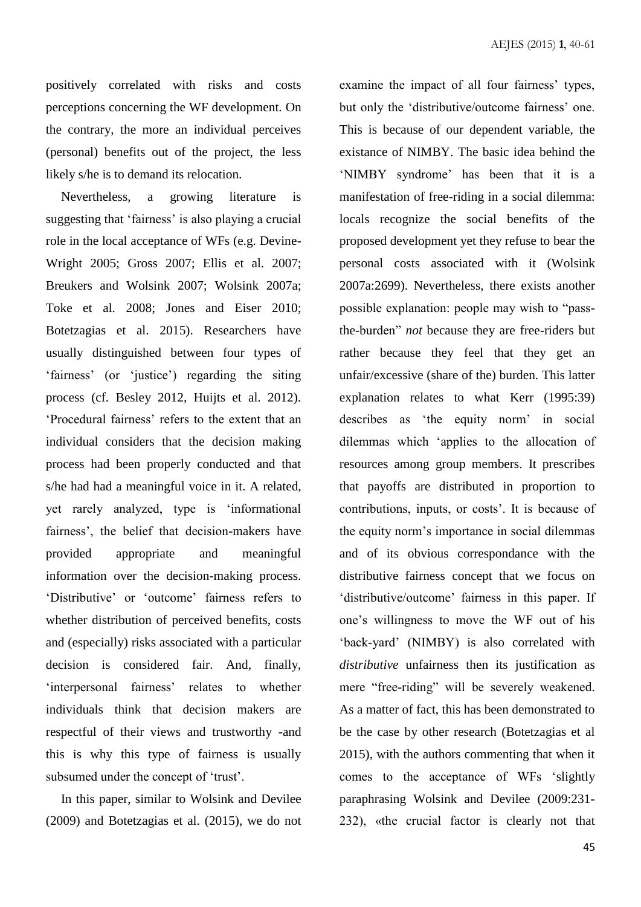positively correlated with risks and costs perceptions concerning the WF development. On the contrary, the more an individual perceives (personal) benefits out of the project, the less likely s/he is to demand its relocation.

Nevertheless, a growing literature is suggesting that 'fairness' is also playing a crucial role in the local acceptance of WFs (e.g. Devine-Wright 2005; Gross 2007; Ellis et al. 2007; Breukers and Wolsink 2007; Wolsink 2007a; Toke et al. 2008; Jones and Eiser 2010; Botetzagias et al. 2015). Researchers have usually distinguished between four types of 'fairness' (or 'justice') regarding the siting process (cf. Besley 2012, Huijts et al. 2012). 'Procedural fairness' refers to the extent that an individual considers that the decision making process had been properly conducted and that s/he had had a meaningful voice in it. A related, yet rarely analyzed, type is 'informational fairness', the belief that decision-makers have provided appropriate and meaningful information over the decision-making process. 'Distributive' or 'outcome' fairness refers to whether distribution of perceived benefits, costs and (especially) risks associated with a particular decision is considered fair. And, finally, 'interpersonal fairness' relates to whether individuals think that decision makers are respectful of their views and trustworthy -and this is why this type of fairness is usually subsumed under the concept of 'trust'.

In this paper, similar to Wolsink and Devilee (2009) and Botetzagias et al. (2015), we do not examine the impact of all four fairness' types, but only the 'distributive/outcome fairness' one. This is because of our dependent variable, the existance of NIMBY. The basic idea behind the 'NIMBY syndrome' has been that it is a manifestation of free-riding in a social dilemma: locals recognize the social benefits of the proposed development yet they refuse to bear the personal costs associated with it (Wolsink 2007a:2699). Nevertheless, there exists another possible explanation: people may wish to "passthe-burden" *not* because they are free-riders but rather because they feel that they get an unfair/excessive (share of the) burden. This latter explanation relates to what Kerr (1995:39) describes as 'the equity norm' in social dilemmas which 'applies to the allocation of resources among group members. It prescribes that payoffs are distributed in proportion to contributions, inputs, or costs'. It is because of the equity norm's importance in social dilemmas and of its obvious correspondance with the distributive fairness concept that we focus on 'distributive/outcome' fairness in this paper. If one's willingness to move the WF out of his 'back-yard' (NIMBY) is also correlated with *distributive* unfairness then its justification as mere "free-riding" will be severely weakened. As a matter of fact, this has been demonstrated to be the case by other research (Botetzagias et al 2015), with the authors commenting that when it comes to the acceptance of WFs 'slightly paraphrasing Wolsink and Devilee (2009:231- 232), «the crucial factor is clearly not that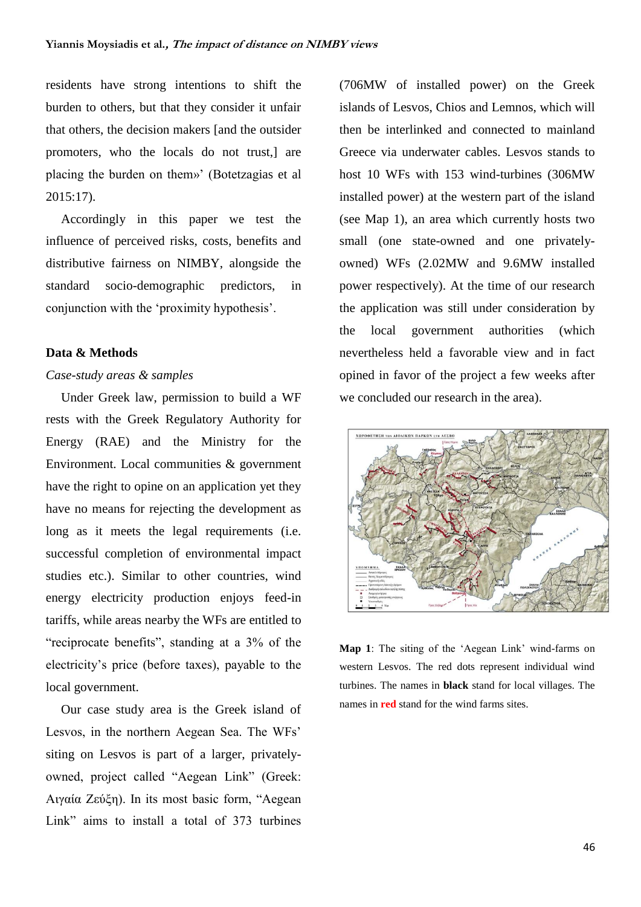residents have strong intentions to shift the burden to others, but that they consider it unfair that others, the decision makers [and the outsider promoters, who the locals do not trust,] are placing the burden on them»' (Botetzagias et al 2015:17).

Accordingly in this paper we test the influence of perceived risks, costs, benefits and distributive fairness on NIMBY, alongside the standard socio-demographic predictors, in conjunction with the 'proximity hypothesis'.

#### **Data & Methods**

#### *Case-study areas & samples*

Under Greek law, permission to build a WF rests with the Greek Regulatory Authority for Energy (RAE) and the Ministry for the Environment. Local communities & government have the right to opine on an application yet they have no means for rejecting the development as long as it meets the legal requirements (i.e. successful completion of environmental impact studies etc.). Similar to other countries, wind energy electricity production enjoys feed-in tariffs, while areas nearby the WFs are entitled to "reciprocate benefits", standing at a 3% of the electricity's price (before taxes), payable to the local government.

Our case study area is the Greek island of Lesvos, in the northern Aegean Sea. The WFs' siting on Lesvos is part of a larger, privatelyowned, project called "Aegean Link" (Greek: Αιγαία Ζεύξη). In its most basic form, "Aegean Link" aims to install a total of 373 turbines

(706MW of installed power) on the Greek islands of Lesvos, Chios and Lemnos, which will then be interlinked and connected to mainland Greece via underwater cables. Lesvos stands to host 10 WFs with 153 wind-turbines (306MW installed power) at the western part of the island (see Map 1), an area which currently hosts two small (one state-owned and one privatelyowned) WFs (2.02MW and 9.6MW installed power respectively). At the time of our research the application was still under consideration by the local government authorities (which nevertheless held a favorable view and in fact opined in favor of the project a few weeks after we concluded our research in the area).



**Map 1**: The siting of the 'Aegean Link' wind-farms on western Lesvos. The red dots represent individual wind turbines. The names in **black** stand for local villages. The names in **red** stand for the wind farms sites.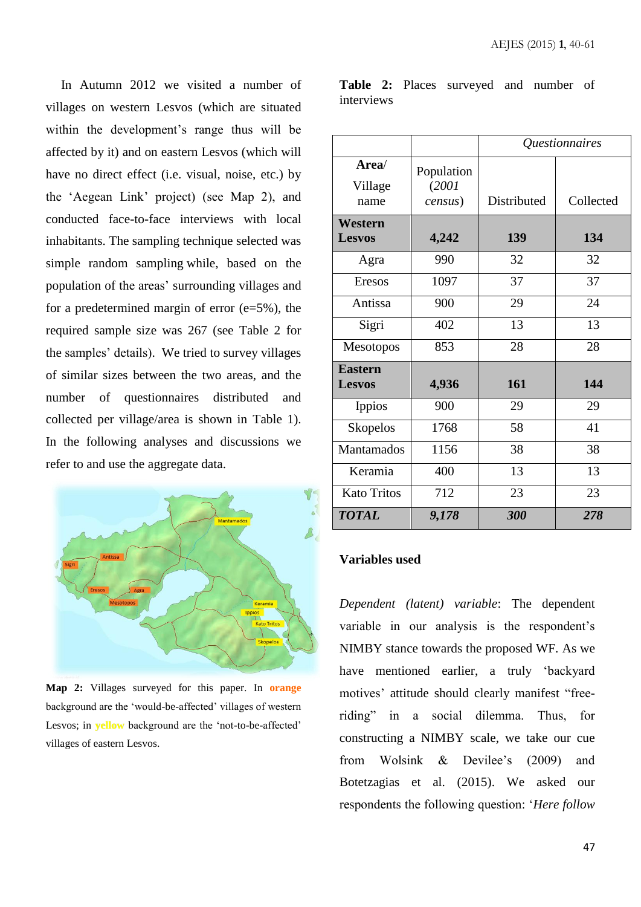In Autumn 2012 we visited a number of villages on western Lesvos (which are situated within the development's range thus will be affected by it) and on eastern Lesvos (which will have no direct effect (i.e. visual, noise, etc.) by the 'Aegean Link' project) (see Map 2), and conducted face-to-face interviews with local inhabitants. The sampling technique selected was simple random sampling while, based on the population of the areas' surrounding villages and for a predetermined margin of error  $(e=5\%)$ , the required sample size was 267 (see Table 2 for the samples' details). We tried to survey villages of similar sizes between the two areas, and the number of questionnaires distributed and collected per village/area is shown in Table 1). In the following analyses and discussions we refer to and use the aggregate data.



**Map 2:** Villages surveyed for this paper. In **orange** background are the 'would-be-affected' villages of western Lesvos; in **yellow** background are the 'not-to-be-affected' villages of eastern Lesvos.

|            |  | Table 2: Places surveyed and number of |  |  |
|------------|--|----------------------------------------|--|--|
| interviews |  |                                        |  |  |

|                                 |                                | Questionnaires |           |  |  |
|---------------------------------|--------------------------------|----------------|-----------|--|--|
| Area/<br>Village<br>name        | Population<br>(2001<br>census) | Distributed    | Collected |  |  |
| Western<br><b>Lesvos</b>        | 4,242                          | 139            | 134       |  |  |
| Agra                            | 990                            | 32             | 32        |  |  |
| Eresos                          | 1097                           | 37             | 37        |  |  |
| Antissa                         | 900                            | 29             | 24        |  |  |
| Sigri                           | 402                            | 13             | 13        |  |  |
| Mesotopos                       | 853                            | 28             | 28        |  |  |
| <b>Eastern</b><br><b>Lesvos</b> | 4,936                          | 161            | 144       |  |  |
| <b>Ippios</b>                   | 900                            | 29             | 29        |  |  |
| <b>Skopelos</b>                 | 1768                           | 58             | 41        |  |  |
| Mantamados                      | 1156                           | 38             | 38        |  |  |
| Keramia                         | 400                            | 13             | 13        |  |  |
| <b>Kato Tritos</b>              | 712                            | 23             | 23        |  |  |
| <b>TOTAL</b>                    | 9,178                          | 300            | 278       |  |  |

#### **Variables used**

*Dependent (latent) variable*: The dependent variable in our analysis is the respondent's NIMBY stance towards the proposed WF. As we have mentioned earlier, a truly 'backyard motives' attitude should clearly manifest "freeriding" in a social dilemma. Thus, for constructing a NIMBY scale, we take our cue from Wolsink & Devilee's (2009) and Botetzagias et al. (2015). We asked our respondents the following question: '*Here follow*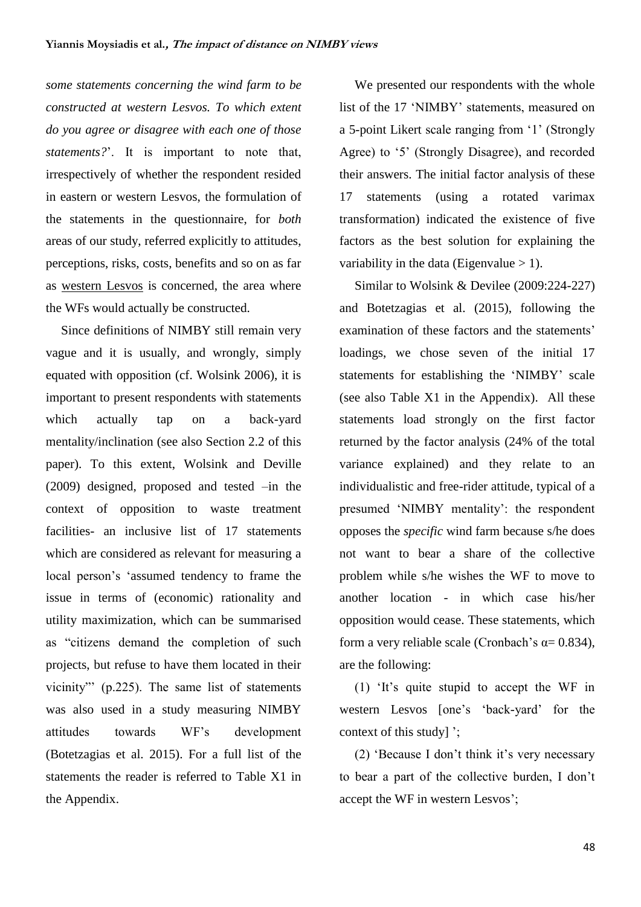*some statements concerning the wind farm to be constructed at western Lesvos. To which extent do you agree or disagree with each one of those statements?*'. It is important to note that, irrespectively of whether the respondent resided in eastern or western Lesvos, the formulation of the statements in the questionnaire, for *both* areas of our study, referred explicitly to attitudes, perceptions, risks, costs, benefits and so on as far as western Lesvos is concerned, the area where the WFs would actually be constructed.

Since definitions of NIMBY still remain very vague and it is usually, and wrongly, simply equated with opposition (cf. Wolsink 2006), it is important to present respondents with statements which actually tap on a back-yard mentality/inclination (see also Section 2.2 of this paper). To this extent, Wolsink and Deville (2009) designed, proposed and tested –in the context of opposition to waste treatment facilities- an inclusive list of 17 statements which are considered as relevant for measuring a local person's 'assumed tendency to frame the issue in terms of (economic) rationality and utility maximization, which can be summarised as "citizens demand the completion of such projects, but refuse to have them located in their vicinity"' (p.225). The same list of statements was also used in a study measuring NIMBY attitudes towards WF's development (Botetzagias et al. 2015). For a full list of the statements the reader is referred to Table X1 in the Appendix.

We presented our respondents with the whole list of the 17 'NIMBY' statements, measured on a 5-point Likert scale ranging from '1' (Strongly Agree) to '5' (Strongly Disagree), and recorded their answers. The initial factor analysis of these 17 statements (using a rotated varimax transformation) indicated the existence of five factors as the best solution for explaining the variability in the data (Eigenvalue  $> 1$ ).

Similar to Wolsink & Devilee (2009:224-227) and Botetzagias et al. (2015), following the examination of these factors and the statements' loadings, we chose seven of the initial 17 statements for establishing the 'NIMBY' scale (see also Table X1 in the Appendix). All these statements load strongly on the first factor returned by the factor analysis (24% of the total variance explained) and they relate to an individualistic and free-rider attitude, typical of a presumed 'NIMBY mentality': the respondent opposes the *specific* wind farm because s/he does not want to bear a share of the collective problem while s/he wishes the WF to move to another location - in which case his/her opposition would cease. These statements, which form a very reliable scale (Cronbach's  $\alpha$  = 0.834), are the following:

(1) 'It's quite stupid to accept the WF in western Lesvos [one's 'back-yard' for the context of this study] ';

(2) 'Because I don't think it's very necessary to bear a part of the collective burden, I don't accept the WF in western Lesvos';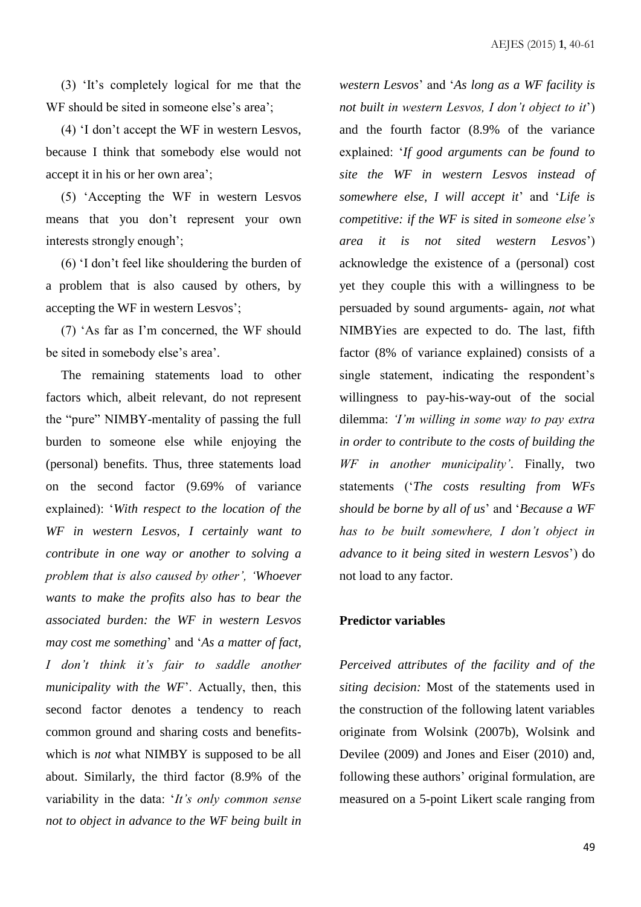(3) 'It's completely logical for me that the WF should be sited in someone else's area';

(4) 'I don't accept the WF in western Lesvos, because I think that somebody else would not accept it in his or her own area';

(5) 'Accepting the WF in western Lesvos means that you don't represent your own interests strongly enough';

(6) 'I don't feel like shouldering the burden of a problem that is also caused by others, by accepting the WF in western Lesvos';

(7) 'As far as I'm concerned, the WF should be sited in somebody else's area'.

The remaining statements load to other factors which, albeit relevant, do not represent the "pure" NIMBY-mentality of passing the full burden to someone else while enjoying the (personal) benefits. Thus, three statements load on the second factor (9.69% of variance explained): '*With respect to the location of the WF in western Lesvos, I certainly want to contribute in one way or another to solving a problem that is also caused by other', 'Whoever wants to make the profits also has to bear the associated burden: the WF in western Lesvos may cost me something*' and '*As a matter of fact, I don't think it's fair to saddle another municipality with the WF*'. Actually, then, this second factor denotes a tendency to reach common ground and sharing costs and benefitswhich is *not* what NIMBY is supposed to be all about. Similarly, the third factor (8.9% of the variability in the data: '*It's only common sense not to object in advance to the WF being built in* 

*western Lesvos*' and '*As long as a WF facility is not built in western Lesvos, I don't object to it*') and the fourth factor (8.9% of the variance explained: '*If good arguments can be found to site the WF in western Lesvos instead of somewhere else, I will accept it*' and '*Life is competitive: if the WF is sited in someone else's area it is not sited western Lesvos*') acknowledge the existence of a (personal) cost yet they couple this with a willingness to be persuaded by sound arguments- again, *not* what NIMBYies are expected to do. The last, fifth factor (8% of variance explained) consists of a single statement, indicating the respondent's willingness to pay-his-way-out of the social dilemma: *'I'm willing in some way to pay extra in order to contribute to the costs of building the WF in another municipality'*. Finally, two statements ('*The costs resulting from WFs should be borne by all of us*' and '*Because a WF has to be built somewhere, I don't object in advance to it being sited in western Lesvos*') do not load to any factor.

#### **Predictor variables**

*Perceived attributes of the facility and of the siting decision:* Most of the statements used in the construction of the following latent variables originate from Wolsink (2007b), Wolsink and Devilee (2009) and Jones and Eiser (2010) and, following these authors' original formulation, are measured on a 5-point Likert scale ranging from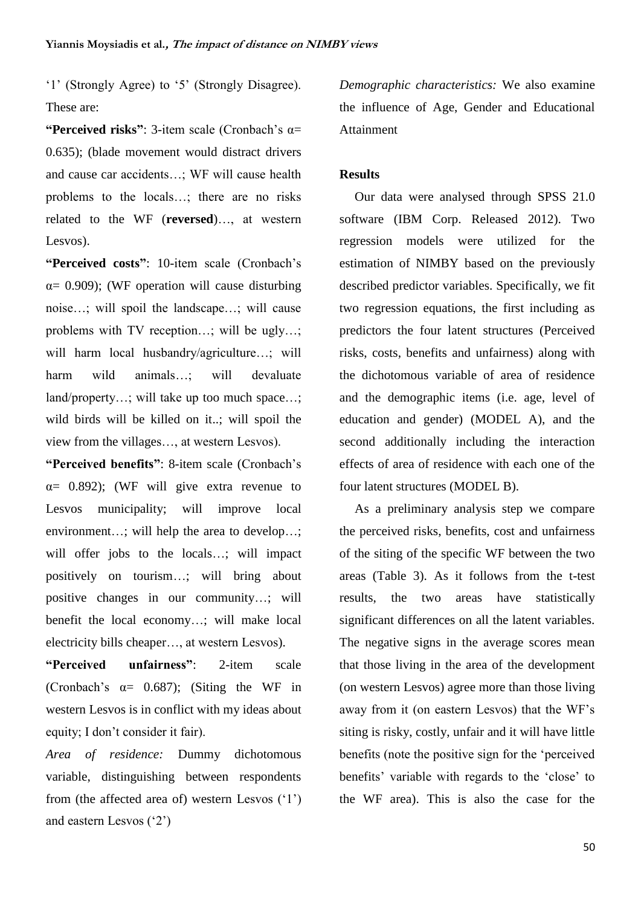'1' (Strongly Agree) to '5' (Strongly Disagree). These are:

**"Perceived risks"**: 3-item scale (Cronbach's α= 0.635); (blade movement would distract drivers and cause car accidents…; WF will cause health problems to the locals…; there are no risks related to the WF (**reversed**)…, at western Lesvos).

**"Perceived costs"**: 10-item scale (Cronbach's  $\alpha$  = 0.909); (WF operation will cause disturbing noise…; will spoil the landscape…; will cause problems with TV reception…; will be ugly…; will harm local husbandry/agriculture…; will harm wild animals…; will devaluate land/property…; will take up too much space…; wild birds will be killed on it..; will spoil the view from the villages…, at western Lesvos).

**"Perceived benefits"**: 8-item scale (Cronbach's  $\alpha$ = 0.892); (WF will give extra revenue to Lesvos municipality; will improve local environment…; will help the area to develop…; will offer jobs to the locals…; will impact positively on tourism…; will bring about positive changes in our community…; will benefit the local economy…; will make local electricity bills cheaper…, at western Lesvos).

**"Perceived unfairness"**: 2-item scale (Cronbach's  $\alpha$  = 0.687); (Siting the WF in western Lesvos is in conflict with my ideas about equity; I don't consider it fair).

*Area of residence:* Dummy dichotomous variable, distinguishing between respondents from (the affected area of) western Lesvos ('1') and eastern Lesvos ('2')

*Demographic characteristics:* We also examine the influence of Age, Gender and Educational Attainment

#### **Results**

Our data were analysed through SPSS 21.0 software (IBM Corp. Released 2012). Two regression models were utilized for the estimation of NIMBY based on the previously described predictor variables. Specifically, we fit two regression equations, the first including as predictors the four latent structures (Perceived risks, costs, benefits and unfairness) along with the dichotomous variable of area of residence and the demographic items (i.e. age, level of education and gender) (MODEL A), and the second additionally including the interaction effects of area of residence with each one of the four latent structures (MODEL B).

As a preliminary analysis step we compare the perceived risks, benefits, cost and unfairness of the siting of the specific WF between the two areas (Table 3). As it follows from the t-test results, the two areas have statistically significant differences on all the latent variables. The negative signs in the average scores mean that those living in the area of the development (on western Lesvos) agree more than those living away from it (on eastern Lesvos) that the WF's siting is risky, costly, unfair and it will have little benefits (note the positive sign for the 'perceived benefits' variable with regards to the 'close' to the WF area). This is also the case for the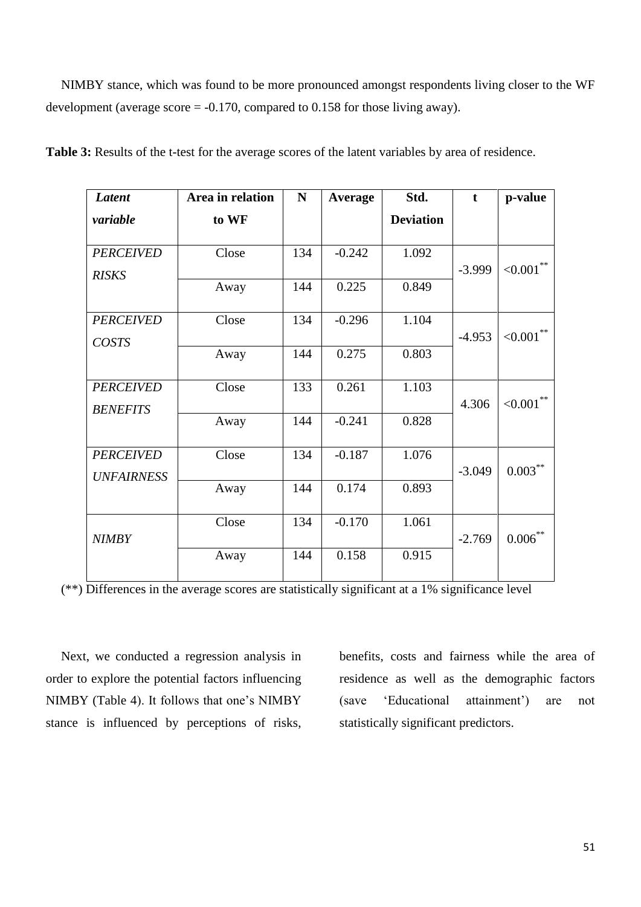NIMBY stance, which was found to be more pronounced amongst respondents living closer to the WF development (average score  $= -0.170$ , compared to 0.158 for those living away).

| <b>Latent</b>     | Area in relation | N   | <b>Average</b> | Std.             | $\mathbf t$ | p-value                |
|-------------------|------------------|-----|----------------|------------------|-------------|------------------------|
| variable          | to WF            |     |                | <b>Deviation</b> |             |                        |
|                   |                  |     |                |                  |             |                        |
| <b>PERCEIVED</b>  | Close            | 134 | $-0.242$       | 1.092            | $-3.999$    | ${<}0.001$ **          |
| <b>RISKS</b>      | Away             | 144 | 0.225          | 0.849            |             |                        |
|                   |                  |     |                |                  |             |                        |
| <b>PERCEIVED</b>  | Close            | 134 | $-0.296$       | 1.104            |             |                        |
| COSTS             |                  |     |                |                  | $-4.953$    | ${<}0.001$ **          |
|                   | Away             | 144 | 0.275          | 0.803            |             |                        |
| <b>PERCEIVED</b>  | Close            | 133 | 0.261          | 1.103            |             |                        |
| <b>BENEFITS</b>   |                  |     |                |                  | 4.306       | ${<}0.001$ **          |
|                   | Away             | 144 | $-0.241$       | 0.828            |             |                        |
|                   |                  |     |                |                  |             |                        |
| <b>PERCEIVED</b>  | Close            | 134 | $-0.187$       | 1.076            | $-3.049$    | $0.003***$             |
| <b>UNFAIRNESS</b> | Away             | 144 | 0.174          | 0.893            |             |                        |
|                   |                  |     |                |                  |             |                        |
|                   | Close            | 134 | $-0.170$       | 1.061            |             |                        |
| <b>NIMBY</b>      |                  |     |                |                  | $-2.769$    | $0.006\overset{**}{ }$ |
|                   | Away             | 144 | 0.158          | 0.915            |             |                        |
|                   |                  |     |                |                  |             |                        |

**Table 3:** Results of the t-test for the average scores of the latent variables by area of residence.

(\*\*) Differences in the average scores are statistically significant at a 1% significance level

Next, we conducted a regression analysis in order to explore the potential factors influencing NIMBY (Table 4). It follows that one's NIMBY stance is influenced by perceptions of risks,

benefits, costs and fairness while the area of residence as well as the demographic factors (save 'Educational attainment') are not statistically significant predictors.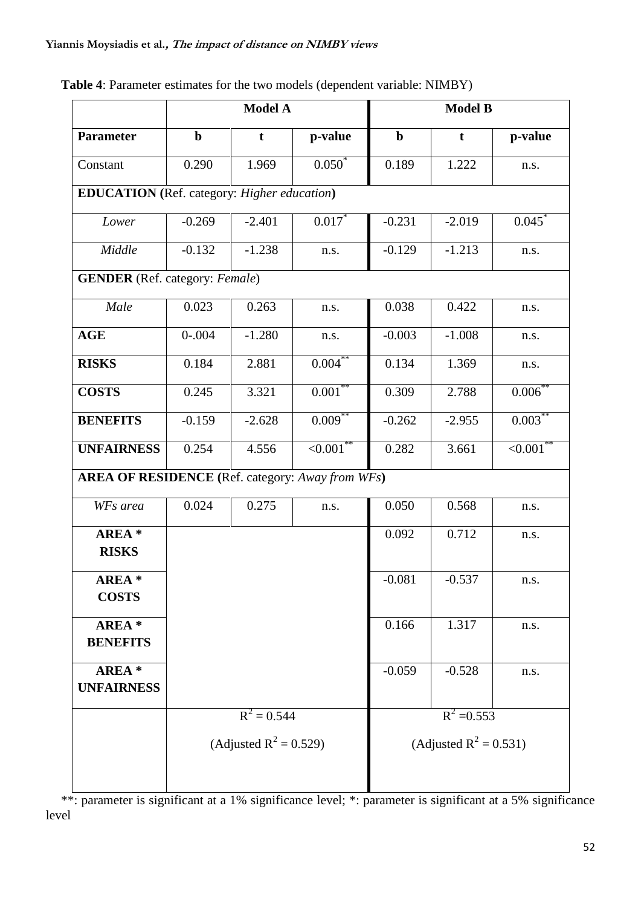|                                                         | Model A                   |               |                 | <b>Model B</b>   |                           |               |  |
|---------------------------------------------------------|---------------------------|---------------|-----------------|------------------|---------------------------|---------------|--|
| <b>Parameter</b>                                        | $\mathbf b$               | $\mathbf t$   | p-value         | $\mathbf b$<br>t |                           | p-value       |  |
| Constant                                                | 0.290                     | 1.969         | $0.050*$        | 0.189            | 1.222                     | n.s.          |  |
| <b>EDUCATION</b> (Ref. category: Higher education)      |                           |               |                 |                  |                           |               |  |
| Lower                                                   | $-0.269$                  | $-2.401$      | $0.017*$        | $-0.231$         | $-2.019$                  | 0.045         |  |
| Middle                                                  | $-0.132$                  | $-1.238$      | n.s.            | $-0.129$         | $-1.213$                  | n.s.          |  |
| <b>GENDER</b> (Ref. category: Female)                   |                           |               |                 |                  |                           |               |  |
| Male                                                    | 0.023                     | 0.263         | n.s.            | 0.038            | 0.422                     | n.s.          |  |
| <b>AGE</b>                                              | $0 - 0.004$               | $-1.280$      | n.s.            | $-0.003$         | $-1.008$                  | n.s.          |  |
| <b>RISKS</b>                                            | 0.184                     | 2.881         | $0.004***$      | 0.134            | 1.369                     | n.s.          |  |
| <b>COSTS</b>                                            | 0.245                     | 3.321         | $0.001**$       | 0.309            | 2.788                     | $0.006$ **    |  |
| <b>BENEFITS</b>                                         | $-0.159$                  | $-2.628$      | $0.009***$      | $-0.262$         | $-2.955$                  | $0.003***$    |  |
| <b>UNFAIRNESS</b>                                       | 0.254                     | 4.556         | $\leq 0.001$ ** | 0.282            | 3.661                     | ${<}0.001$ ** |  |
| <b>AREA OF RESIDENCE</b> (Ref. category: Away from WFs) |                           |               |                 |                  |                           |               |  |
| WFs area                                                | 0.024                     | 0.275         | n.s.            | 0.050            | 0.568                     | n.s.          |  |
| AREA *<br><b>RISKS</b>                                  |                           |               |                 | 0.092            | 0.712                     | n.s.          |  |
| <b>AREA</b> *<br><b>COSTS</b>                           |                           |               |                 | $-0.081$         | $-0.537$                  | n.s.          |  |
| AREA *<br><b>BENEFITS</b>                               |                           |               | 0.166           | 1.317            | n.s.                      |               |  |
| AREA *<br><b>UNFAIRNESS</b>                             |                           |               | $-0.059$        | $-0.528$         | n.s.                      |               |  |
|                                                         |                           | $R^2 = 0.544$ |                 | $R^2 = 0.553$    |                           |               |  |
|                                                         | (Adjusted $R^2 = 0.529$ ) |               |                 |                  | (Adjusted $R^2 = 0.531$ ) |               |  |
|                                                         |                           |               |                 |                  |                           |               |  |

## **Table 4**: Parameter estimates for the two models (dependent variable: NIMBY)

\*\*: parameter is significant at a 1% significance level; \*: parameter is significant at a 5% significance level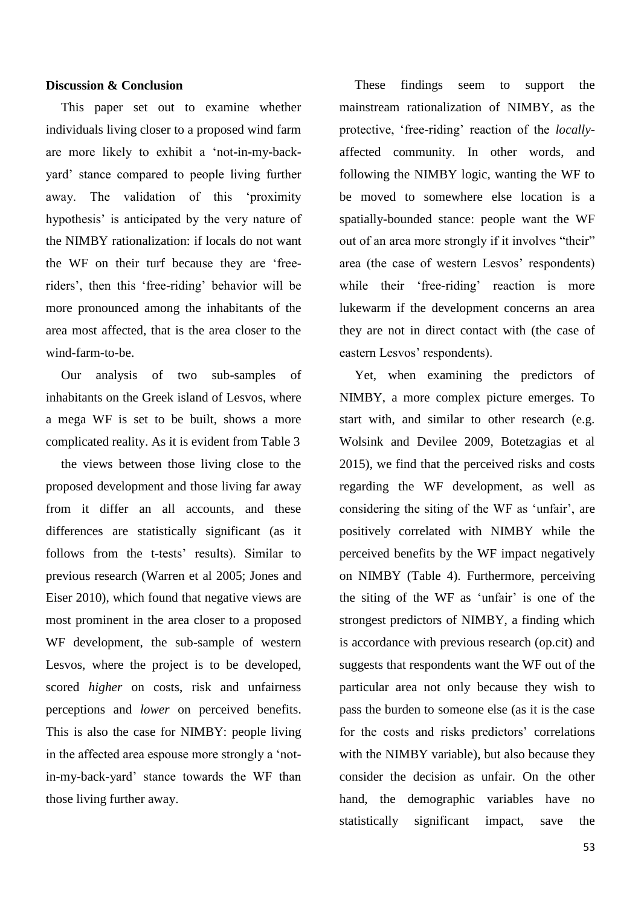#### **Discussion & Conclusion**

This paper set out to examine whether individuals living closer to a proposed wind farm are more likely to exhibit a 'not-in-my-backyard' stance compared to people living further away. The validation of this 'proximity hypothesis' is anticipated by the very nature of the NIMBY rationalization: if locals do not want the WF on their turf because they are 'freeriders', then this 'free-riding' behavior will be more pronounced among the inhabitants of the area most affected, that is the area closer to the wind-farm-to-be.

Our analysis of two sub-samples of inhabitants on the Greek island of Lesvos, where a mega WF is set to be built, shows a more complicated reality. As it is evident from Table 3

the views between those living close to the proposed development and those living far away from it differ an all accounts, and these differences are statistically significant (as it follows from the t-tests' results). Similar to previous research (Warren et al 2005; Jones and Eiser 2010), which found that negative views are most prominent in the area closer to a proposed WF development, the sub-sample of western Lesvos, where the project is to be developed, scored *higher* on costs, risk and unfairness perceptions and *lower* on perceived benefits. This is also the case for NIMBY: people living in the affected area espouse more strongly a 'notin-my-back-yard' stance towards the WF than those living further away.

These findings seem to support the mainstream rationalization of NIMBY, as the protective, 'free-riding' reaction of the *locally*affected community. In other words, and following the NIMBY logic, wanting the WF to be moved to somewhere else location is a spatially-bounded stance: people want the WF out of an area more strongly if it involves "their" area (the case of western Lesvos' respondents) while their 'free-riding' reaction is more lukewarm if the development concerns an area they are not in direct contact with (the case of eastern Lesvos' respondents).

Yet, when examining the predictors of NIMBY, a more complex picture emerges. To start with, and similar to other research (e.g. Wolsink and Devilee 2009, Botetzagias et al 2015), we find that the perceived risks and costs regarding the WF development, as well as considering the siting of the WF as 'unfair', are positively correlated with NIMBY while the perceived benefits by the WF impact negatively on NIMBY (Table 4). Furthermore, perceiving the siting of the WF as 'unfair' is one of the strongest predictors of NIMBY, a finding which is accordance with previous research (op.cit) and suggests that respondents want the WF out of the particular area not only because they wish to pass the burden to someone else (as it is the case for the costs and risks predictors' correlations with the NIMBY variable), but also because they consider the decision as unfair. On the other hand, the demographic variables have no statistically significant impact, save the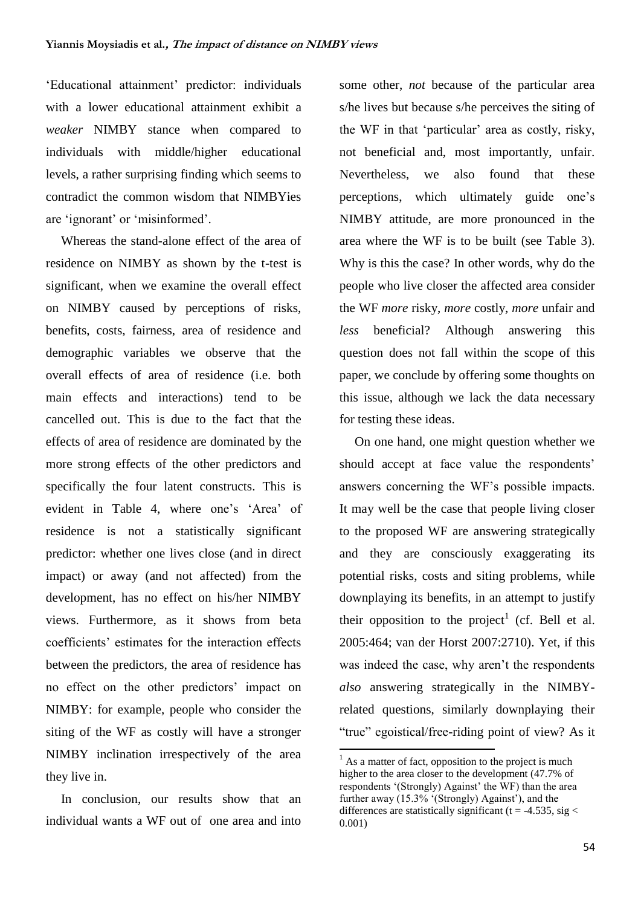'Educational attainment' predictor: individuals with a lower educational attainment exhibit a *weaker* NIMBY stance when compared to individuals with middle/higher educational levels, a rather surprising finding which seems to contradict the common wisdom that NIMBYies are 'ignorant' or 'misinformed'.

Whereas the stand-alone effect of the area of residence on NIMBY as shown by the t-test is significant, when we examine the overall effect on NIMBY caused by perceptions of risks, benefits, costs, fairness, area of residence and demographic variables we observe that the overall effects of area of residence (i.e. both main effects and interactions) tend to be cancelled out. This is due to the fact that the effects of area of residence are dominated by the more strong effects of the other predictors and specifically the four latent constructs. This is evident in Table 4, where one's 'Area' of residence is not a statistically significant predictor: whether one lives close (and in direct impact) or away (and not affected) from the development, has no effect on his/her NIMBY views. Furthermore, as it shows from beta coefficients' estimates for the interaction effects between the predictors, the area of residence has no effect on the other predictors' impact on NIMBY: for example, people who consider the siting of the WF as costly will have a stronger NIMBY inclination irrespectively of the area they live in.

In conclusion, our results show that an individual wants a WF out of one area and into some other, *not* because of the particular area s/he lives but because s/he perceives the siting of the WF in that 'particular' area as costly, risky, not beneficial and, most importantly, unfair. Nevertheless, we also found that these perceptions, which ultimately guide one's NIMBY attitude, are more pronounced in the area where the WF is to be built (see Table 3). Why is this the case? In other words, why do the people who live closer the affected area consider the WF *more* risky, *more* costly, *more* unfair and *less* beneficial? Although answering this question does not fall within the scope of this paper, we conclude by offering some thoughts on this issue, although we lack the data necessary for testing these ideas.

On one hand, one might question whether we should accept at face value the respondents' answers concerning the WF's possible impacts. It may well be the case that people living closer to the proposed WF are answering strategically and they are consciously exaggerating its potential risks, costs and siting problems, while downplaying its benefits, in an attempt to justify their opposition to the project<sup>1</sup> (cf. Bell et al. 2005:464; van der Horst 2007:2710). Yet, if this was indeed the case, why aren't the respondents *also* answering strategically in the NIMBYrelated questions, similarly downplaying their "true" egoistical/free-riding point of view? As it

1

 $<sup>1</sup>$  As a matter of fact, opposition to the project is much</sup> higher to the area closer to the development (47.7% of respondents '(Strongly) Against' the WF) than the area further away  $(15.3\%$  '(Strongly) Against'), and the differences are statistically significant ( $t = -4.535$ , sig < 0.001)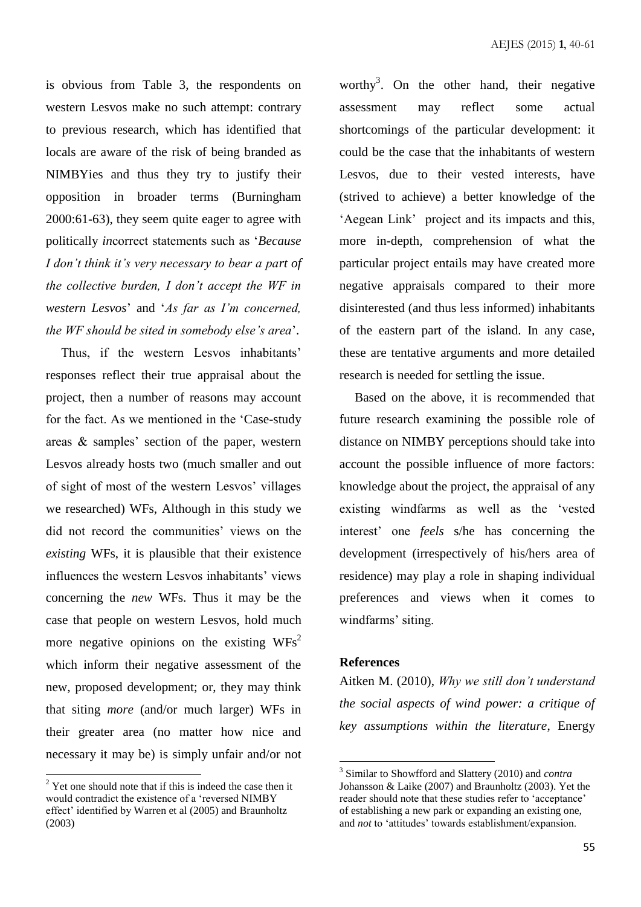is obvious from Table 3, the respondents on western Lesvos make no such attempt: contrary to previous research, which has identified that locals are aware of the risk of being branded as NIMBYies and thus they try to justify their opposition in broader terms (Burningham 2000:61-63), they seem quite eager to agree with politically *in*correct statements such as '*Because I don't think it's very necessary to bear a part of the collective burden, I don't accept the WF in western Lesvos*' and '*As far as I'm concerned, the WF should be sited in somebody else's area*'.

Thus, if the western Lesvos inhabitants' responses reflect their true appraisal about the project, then a number of reasons may account for the fact. As we mentioned in the 'Case-study areas & samples' section of the paper, western Lesvos already hosts two (much smaller and out of sight of most of the western Lesvos' villages we researched) WFs, Although in this study we did not record the communities' views on the *existing* WFs, it is plausible that their existence influences the western Lesvos inhabitants' views concerning the *new* WFs. Thus it may be the case that people on western Lesvos, hold much more negative opinions on the existing  $WFs^2$ which inform their negative assessment of the new, proposed development; or, they may think that siting *more* (and/or much larger) WFs in their greater area (no matter how nice and necessary it may be) is simply unfair and/or not

 $\overline{a}$ 

worthy<sup>3</sup>. On the other hand, their negative assessment may reflect some actual shortcomings of the particular development: it could be the case that the inhabitants of western Lesvos, due to their vested interests, have (strived to achieve) a better knowledge of the 'Aegean Link' project and its impacts and this, more in-depth, comprehension of what the particular project entails may have created more negative appraisals compared to their more disinterested (and thus less informed) inhabitants of the eastern part of the island. In any case, these are tentative arguments and more detailed research is needed for settling the issue.

Based on the above, it is recommended that future research examining the possible role of distance on NIMBY perceptions should take into account the possible influence of more factors: knowledge about the project, the appraisal of any existing windfarms as well as the 'vested interest' one *feels* s/he has concerning the development (irrespectively of his/hers area of residence) may play a role in shaping individual preferences and views when it comes to windfarms' siting.

#### **References**

Aitken M. (2010), *Why we still don't understand the social aspects of wind power: a critique of key assumptions within the literature*, Energy

 $2 \text{ Y}$  Yet one should note that if this is indeed the case then it would contradict the existence of a 'reversed NIMBY effect' identified by Warren et al (2005) and Braunholtz (2003)

 3 Similar to Showfford and Slattery (2010) and *contra* Johansson & Laike (2007) and Braunholtz (2003). Yet the reader should note that these studies refer to 'acceptance' of establishing a new park or expanding an existing one, and *not* to 'attitudes' towards establishment/expansion.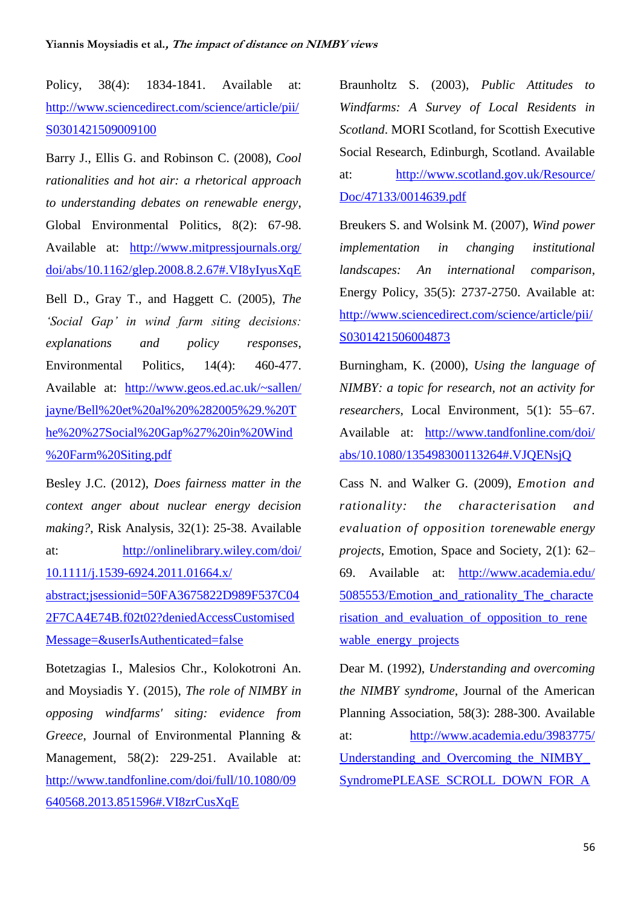Policy, 38(4): 1834-1841. Available at: [http://www.sciencedirect.com/science/article/pii/](http://www.sciencedirect.com/science/article/pii/S0301421509009100) [S0301421509009100](http://www.sciencedirect.com/science/article/pii/S0301421509009100)

Barry J., Ellis G. and Robinson C. (2008), *Cool rationalities and hot air: a rhetorical approach to understanding debates on renewable energy*, Global Environmental Politics, 8(2): 67-98. Available at: [http://www.mitpressjournals.org/](http://www.mitpressjournals.org/doi/abs/10.1162/glep.2008.8.2.67#.VI8yIyusXqE) [doi/abs/10.1162/glep.2008.8.2.67#.VI8yIyusXqE](http://www.mitpressjournals.org/doi/abs/10.1162/glep.2008.8.2.67#.VI8yIyusXqE)

Bell D., Gray T., and Haggett C. (2005), *The 'Social Gap' in wind farm siting decisions: explanations and policy responses*, Environmental Politics, 14(4): 460-477. Available at: [http://www.geos.ed.ac.uk/~sallen/](http://www.geos.ed.ac.uk/~sallen/jayne/Bell%20et%20al%20%282005%29.%20The%20%27Social%20Gap%27%20in%20Wind%20Farm%20Siting.pdf) [jayne/Bell%20et%20al%20%282005%29.%20T](http://www.geos.ed.ac.uk/~sallen/jayne/Bell%20et%20al%20%282005%29.%20The%20%27Social%20Gap%27%20in%20Wind%20Farm%20Siting.pdf) [he%20%27Social%20Gap%27%20in%20Wind](http://www.geos.ed.ac.uk/~sallen/jayne/Bell%20et%20al%20%282005%29.%20The%20%27Social%20Gap%27%20in%20Wind%20Farm%20Siting.pdf) [%20Farm%20Siting.pdf](http://www.geos.ed.ac.uk/~sallen/jayne/Bell%20et%20al%20%282005%29.%20The%20%27Social%20Gap%27%20in%20Wind%20Farm%20Siting.pdf)

Besley J.C. (2012), *Does fairness matter in the context anger about nuclear energy decision making?*, Risk Analysis, 32(1): 25-38. Available at: [http://onlinelibrary.wiley.com/doi/](http://onlinelibrary.wiley.com/doi/10.1111/j.1539-6924.2011.01664.x/abstract;jsessionid=50FA3675822D989F537C042F7CA4E74B.f02t02?deniedAccessCustomisedMessage=&userIsAuthenticated=false) [10.1111/j.1539-6924.2011.01664.x/](http://onlinelibrary.wiley.com/doi/10.1111/j.1539-6924.2011.01664.x/abstract;jsessionid=50FA3675822D989F537C042F7CA4E74B.f02t02?deniedAccessCustomisedMessage=&userIsAuthenticated=false) [abstract;jsessionid=50FA3675822D989F537C04](http://onlinelibrary.wiley.com/doi/10.1111/j.1539-6924.2011.01664.x/abstract;jsessionid=50FA3675822D989F537C042F7CA4E74B.f02t02?deniedAccessCustomisedMessage=&userIsAuthenticated=false) [2F7CA4E74B.f02t02?deniedAccessCustomised](http://onlinelibrary.wiley.com/doi/10.1111/j.1539-6924.2011.01664.x/abstract;jsessionid=50FA3675822D989F537C042F7CA4E74B.f02t02?deniedAccessCustomisedMessage=&userIsAuthenticated=false) [Message=&userIsAuthenticated=false](http://onlinelibrary.wiley.com/doi/10.1111/j.1539-6924.2011.01664.x/abstract;jsessionid=50FA3675822D989F537C042F7CA4E74B.f02t02?deniedAccessCustomisedMessage=&userIsAuthenticated=false)

Botetzagias I., Malesios Chr., Kolokotroni An. and Moysiadis Y. (2015), *The role of NIMBY in opposing windfarms' siting: evidence from Greece*, Journal of Environmental Planning & Management, 58(2): 229-251. Available at: [http://www.tandfonline.com/doi/full/10.1080/09](http://www.tandfonline.com/doi/full/10.1080/09640568.2013.851596#.VI8zrCusXqE) [640568.2013.851596#.VI8zrCusXqE](http://www.tandfonline.com/doi/full/10.1080/09640568.2013.851596#.VI8zrCusXqE)

Braunholtz S. (2003), *Public Attitudes to Windfarms: A Survey of Local Residents in Scotland*. MORI Scotland, for Scottish Executive Social Research, Edinburgh, Scotland. Available at: [http://www.scotland.gov.uk/Resource/](http://www.scotland.gov.uk/Resource/Doc/47133/0014639.pdf) [Doc/47133/0014639.pdf](http://www.scotland.gov.uk/Resource/Doc/47133/0014639.pdf)

Breukers S. and Wolsink M. (2007), *Wind power implementation in changing institutional landscapes: An international comparison*, Energy Policy, 35(5): 2737-2750. Available at: [http://www.sciencedirect.com/science/article/pii/](http://www.sciencedirect.com/science/article/pii/S0301421506004873) [S0301421506004873](http://www.sciencedirect.com/science/article/pii/S0301421506004873)

Burningham, K. (2000), *Using the language of NIMBY: a topic for research, not an activity for researchers*, Local Environment, 5(1): 55–67. Available at: [http://www.tandfonline.com/doi/](http://www.tandfonline.com/doi/abs/10.1080/135498300113264#.VJQENsjQ) [abs/10.1080/135498300113264#.VJQENsjQ](http://www.tandfonline.com/doi/abs/10.1080/135498300113264#.VJQENsjQ)

Cass N. and Walker G. (2009), *Emotion and rationality: the characterisation and evaluation of opposition torenewable energy projects*, Emotion, Space and Society, 2(1): 62– 69. Available at: [http://www.academia.edu/](http://www.academia.edu/5085553/Emotion_and_rationality_The_characterisation_and_evaluation_of_opposition_to_renewable_energy_projects) 5085553/Emotion and rationality The characte [risation\\_and\\_evaluation\\_of\\_opposition\\_to\\_rene](http://www.academia.edu/5085553/Emotion_and_rationality_The_characterisation_and_evaluation_of_opposition_to_renewable_energy_projects) wable energy projects

Dear M. (1992), *Understanding and overcoming the NIMBY syndrome*, Journal of the American Planning Association, 58(3): 288-300. Available at: [http://www.academia.edu/3983775/](http://www.academia.edu/3983775/Understanding_and_Overcoming_the_NIMBY_SyndromePLEASE_SCROLL_DOWN_FOR_ARTICLESyndromeThe_NIMBY_SyndromeUnderstanding_Community_Opposition) Understanding and Overcoming the NIMBY [SyndromePLEASE\\_SCROLL\\_DOWN\\_FOR\\_A](http://www.academia.edu/3983775/Understanding_and_Overcoming_the_NIMBY_SyndromePLEASE_SCROLL_DOWN_FOR_ARTICLESyndromeThe_NIMBY_SyndromeUnderstanding_Community_Opposition)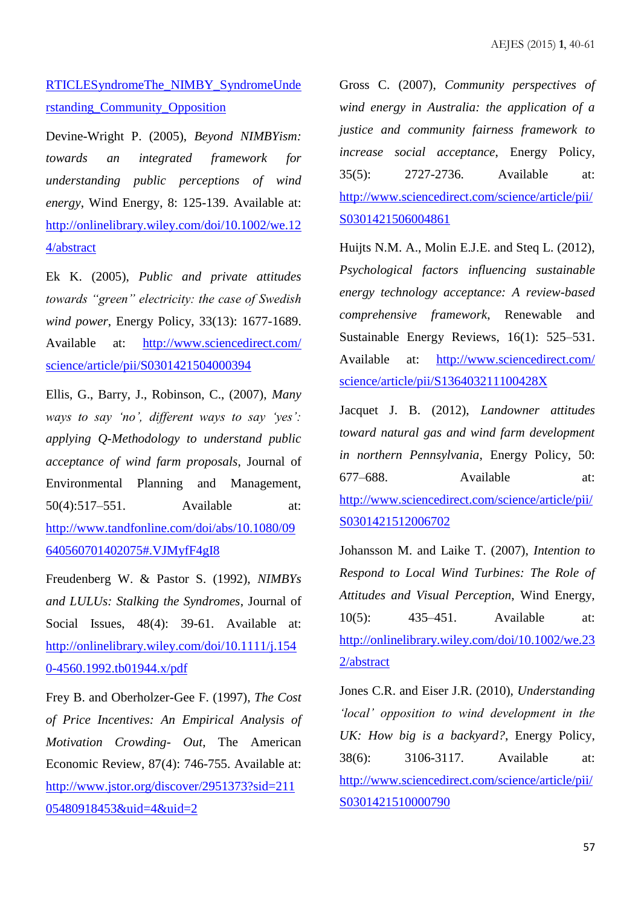# RTICLESyndromeThe\_NIMBY\_SyndromeUnde rstanding\_Community\_Opposition

Devine-Wright P. (2005), *Beyond NIMBYism: towards an integrated framework for understanding public perceptions of wind energy*, Wind Energy, 8: 125-139. Available at: [http://onlinelibrary.wiley.com/doi/10.1002/we.12](http://onlinelibrary.wiley.com/doi/10.1002/we.124/abstract) [4/abstract](http://onlinelibrary.wiley.com/doi/10.1002/we.124/abstract)

Ek K. (2005), *Public and private attitudes towards "green" electricity: the case of Swedish wind power*, Energy Policy, 33(13): 1677-1689. Available at: [http://www.sciencedirect.com/](http://www.sciencedirect.com/science/article/pii/S0301421504000394) [science/article/pii/S0301421504000394](http://www.sciencedirect.com/science/article/pii/S0301421504000394)

Ellis, G., Barry, J., Robinson, C., (2007), *Many ways to say 'no', different ways to say 'yes': applying Q-Methodology to understand public acceptance of wind farm proposals*, Journal of Environmental Planning and Management, 50(4):517–551. Available at: [http://www.tandfonline.com/doi/abs/10.1080/09](http://www.tandfonline.com/doi/abs/10.1080/09640560701402075#.VJMyfF4gI8) [640560701402075#.VJMyfF4gI8](http://www.tandfonline.com/doi/abs/10.1080/09640560701402075#.VJMyfF4gI8)

Freudenberg W. & Pastor S. (1992), *NIMBYs and LULUs: Stalking the Syndromes*, Journal of Social Issues, 48(4): 39-61. Available at: [http://onlinelibrary.wiley.com/doi/10.1111/j.154](http://onlinelibrary.wiley.com/doi/10.1111/j.1540-4560.1992.tb01944.x/pdf) [0-4560.1992.tb01944.x/pdf](http://onlinelibrary.wiley.com/doi/10.1111/j.1540-4560.1992.tb01944.x/pdf)

Frey B. and Oberholzer-Gee F. (1997), *The Cost of Price Incentives: An Empirical Analysis of Motivation Crowding- Out*, The American Economic Review, 87(4): 746-755. Available at: [http://www.jstor.org/discover/2951373?sid=211](http://www.jstor.org/discover/2951373?sid=21105480918453&uid=4&uid=2) [05480918453&uid=4&uid=2](http://www.jstor.org/discover/2951373?sid=21105480918453&uid=4&uid=2)

Gross C. (2007), *Community perspectives of wind energy in Australia: the application of a justice and community fairness framework to increase social acceptance*, Energy Policy, 35(5): 2727-2736. Available at: [http://www.sciencedirect.com/science/article/pii/](http://www.sciencedirect.com/science/article/pii/S0301421506004861) [S0301421506004861](http://www.sciencedirect.com/science/article/pii/S0301421506004861)

Huijts N.M. A., Molin E.J.E. and Steq L. (2012), *Psychological factors influencing sustainable energy technology acceptance: A review-based comprehensive framework*, Renewable and Sustainable Energy Reviews, 16(1): 525–531. Available at: [http://www.sciencedirect.com/](http://www.sciencedirect.com/science/article/pii/S136403211100428X) [science/article/pii/S136403211100428X](http://www.sciencedirect.com/science/article/pii/S136403211100428X)

Jacquet J. B. (2012), *Landowner attitudes toward natural gas and wind farm development in northern Pennsylvania*, Energy Policy, 50: 677–688. Available at: [http://www.sciencedirect.com/science/article/pii/](http://www.sciencedirect.com/science/article/pii/S0301421512006702) [S0301421512006702](http://www.sciencedirect.com/science/article/pii/S0301421512006702)

Johansson M. and Laike T. (2007), *Intention to Respond to Local Wind Turbines: The Role of Attitudes and Visual Perception*, Wind Energy, 10(5): 435–451. Available at: [http://onlinelibrary.wiley.com/doi/10.1002/we.23](http://onlinelibrary.wiley.com/doi/10.1002/we.232/abstract) [2/abstract](http://onlinelibrary.wiley.com/doi/10.1002/we.232/abstract)

Jones C.R. and Eiser J.R. (2010), *Understanding 'local' opposition to wind development in the UK: How big is a backyard?*, Energy Policy, 38(6): 3106-3117. Available at: [http://www.sciencedirect.com/science/article/pii/](http://www.sciencedirect.com/science/article/pii/S0301421510000790) [S0301421510000790](http://www.sciencedirect.com/science/article/pii/S0301421510000790)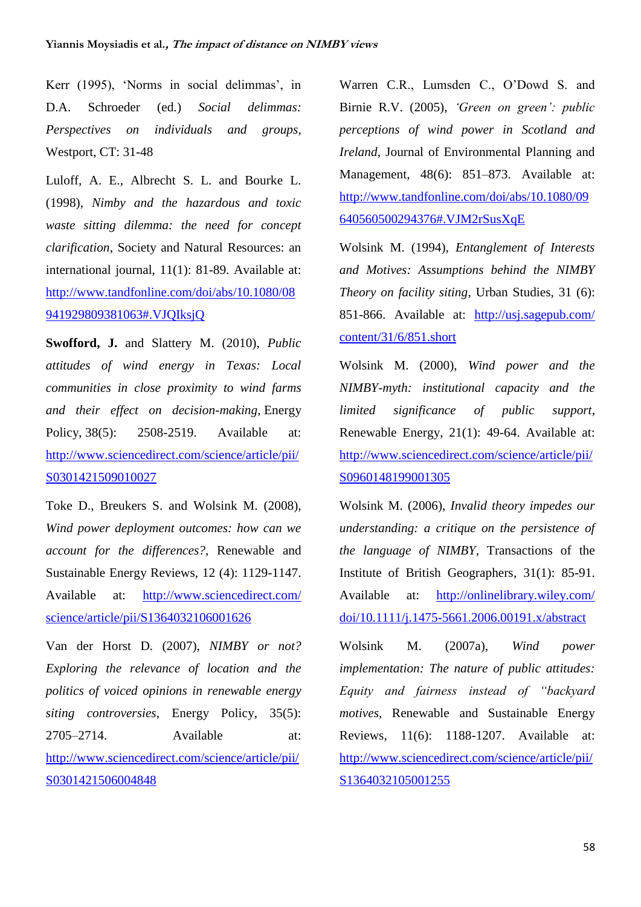Kerr (1995), 'Norms in social delimmas', in D.A. Schroeder (ed.) *Social delimmas: Perspectives on individuals and groups*, Westport, CT: 31-48

Luloff, A. E., Albrecht S. L. and Bourke L. (1998), *Nimby and the hazardous and toxic waste sitting dilemma: the need for concept clarification*, Society and Natural Resources: an international journal, 11(1): 81-89. Available at: [http://www.tandfonline.com/doi/abs/10.1080/08](http://www.tandfonline.com/doi/abs/10.1080/08941929809381063#.VJQIksjQ) [941929809381063#.VJQIksjQ](http://www.tandfonline.com/doi/abs/10.1080/08941929809381063#.VJQIksjQ)

**Swofford, J.** and Slattery M. (2010), *Public attitudes of wind energy in Texas: Local communities in close proximity to wind farms and their effect on decision-making*, Energy Policy, 38(5): 2508-2519. Available at: [http://www.sciencedirect.com/science/article/pii/](http://www.sciencedirect.com/science/article/pii/S0301421509010027) [S0301421509010027](http://www.sciencedirect.com/science/article/pii/S0301421509010027)

Toke D., Breukers S. and Wolsink M. (2008), *Wind power deployment outcomes: how can we account for the differences?*, Renewable and Sustainable Energy Reviews, 12 (4): 1129-1147. Available at: [http://www.sciencedirect.com/](http://www.sciencedirect.com/science/article/pii/S1364032106001626) [science/article/pii/S1364032106001626](http://www.sciencedirect.com/science/article/pii/S1364032106001626)

Van der Horst D. (2007), *NIMBY or not? Exploring the relevance of location and the politics of voiced opinions in renewable energy siting controversies*, Energy Policy, 35(5): 2705–2714. Available at: [http://www.sciencedirect.com/science/article/pii/](http://www.sciencedirect.com/science/article/pii/S0301421506004848) [S0301421506004848](http://www.sciencedirect.com/science/article/pii/S0301421506004848)

Warren C.R., Lumsden C., O'Dowd S. and Birnie R.V. (2005), *'Green on green': public perceptions of wind power in Scotland and Ireland*, Journal of Environmental Planning and Management, 48(6): 851–873. Available at: [http://www.tandfonline.com/doi/abs/10.1080/09](http://www.tandfonline.com/doi/abs/10.1080/09640560500294376#.VJM2rSusXqE) [640560500294376#.VJM2rSusXqE](http://www.tandfonline.com/doi/abs/10.1080/09640560500294376#.VJM2rSusXqE)

Wolsink M. (1994), *Entanglement of Interests and Motives: Assumptions behind the NIMBY Theory on facility siting*, Urban Studies, 31 (6): 851-866. Available at: [http://usj.sagepub.com/](http://usj.sagepub.com/content/31/6/851.short) [content/31/6/851.short](http://usj.sagepub.com/content/31/6/851.short)

Wolsink M. (2000), *Wind power and the NIMBY-myth: institutional capacity and the limited significance of public support*, Renewable Energy, 21(1): 49-64. Available at: [http://www.sciencedirect.com/science/article/pii/](http://www.sciencedirect.com/science/article/pii/S0960148199001305) [S0960148199001305](http://www.sciencedirect.com/science/article/pii/S0960148199001305)

Wolsink M. (2006), *Invalid theory impedes our understanding: a critique on the persistence of the language of NIMBY*, Transactions of the Institute of British Geographers, 31(1): 85-91. Available at: [http://onlinelibrary.wiley.com/](http://onlinelibrary.wiley.com/doi/10.1111/j.1475-5661.2006.00191.x/abstract) [doi/10.1111/j.1475-5661.2006.00191.x/abstract](http://onlinelibrary.wiley.com/doi/10.1111/j.1475-5661.2006.00191.x/abstract)

Wolsink M. (2007a), *Wind power implementation: The nature of public attitudes: Equity and fairness instead of "backyard motives*, Renewable and Sustainable Energy Reviews, 11(6): 1188-1207. Available at: [http://www.sciencedirect.com/science/article/pii/](http://www.sciencedirect.com/science/article/pii/S1364032105001255) [S1364032105001255](http://www.sciencedirect.com/science/article/pii/S1364032105001255)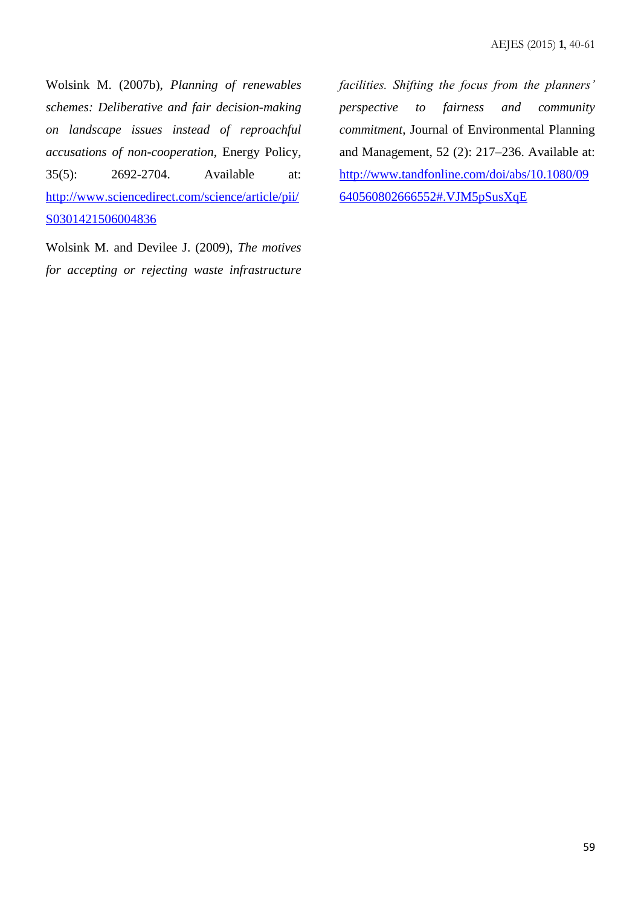Wolsink M. (2007b), *Planning of renewables schemes: Deliberative and fair decision-making on landscape issues instead of reproachful accusations of non-cooperation*, Energy Policy, 35(5): 2692-2704. Available at: [http://www.sciencedirect.com/science/article/pii/](http://www.sciencedirect.com/science/article/pii/S0301421506004836) [S0301421506004836](http://www.sciencedirect.com/science/article/pii/S0301421506004836)

Wolsink M. and Devilee J. (2009), *The motives for accepting or rejecting waste infrastructure*  *facilities. Shifting the focus from the planners' perspective to fairness and community commitment*, Journal of Environmental Planning and Management, 52 (2): 217–236. Available at: [http://www.tandfonline.com/doi/abs/10.1080/09](http://www.tandfonline.com/doi/abs/10.1080/09640560802666552#.VJM5pSusXqE) [640560802666552#.VJM5pSusXqE](http://www.tandfonline.com/doi/abs/10.1080/09640560802666552#.VJM5pSusXqE)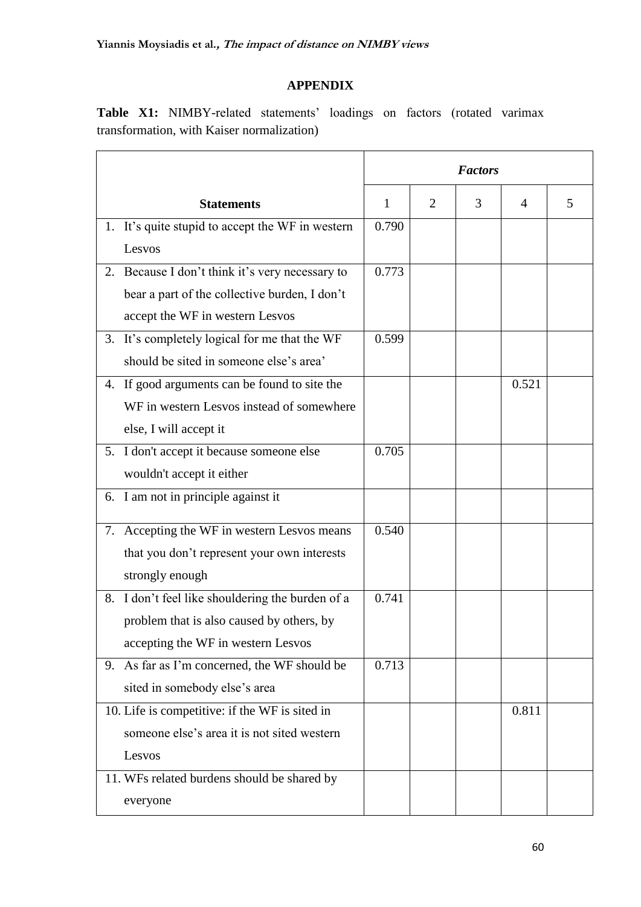### **APPENDIX**

**Table X1:** NIMBY-related statements' loadings on factors (rotated varimax transformation, with Kaiser normalization)

|    |                                                  | <b>Factors</b> |                |   |       |   |
|----|--------------------------------------------------|----------------|----------------|---|-------|---|
|    | <b>Statements</b>                                | $\mathbf{1}$   | $\overline{2}$ | 3 | 4     | 5 |
|    | 1. It's quite stupid to accept the WF in western | 0.790          |                |   |       |   |
|    | Lesvos                                           |                |                |   |       |   |
|    | 2. Because I don't think it's very necessary to  | 0.773          |                |   |       |   |
|    | bear a part of the collective burden, I don't    |                |                |   |       |   |
|    | accept the WF in western Lesvos                  |                |                |   |       |   |
|    | 3. It's completely logical for me that the WF    | 0.599          |                |   |       |   |
|    | should be sited in someone else's area'          |                |                |   |       |   |
|    | 4. If good arguments can be found to site the    |                |                |   | 0.521 |   |
|    | WF in western Lesvos instead of somewhere        |                |                |   |       |   |
|    | else, I will accept it                           |                |                |   |       |   |
|    | 5. I don't accept it because someone else        | 0.705          |                |   |       |   |
|    | wouldn't accept it either                        |                |                |   |       |   |
|    | 6. I am not in principle against it              |                |                |   |       |   |
| 7. | Accepting the WF in western Lesvos means         | 0.540          |                |   |       |   |
|    | that you don't represent your own interests      |                |                |   |       |   |
|    | strongly enough                                  |                |                |   |       |   |
|    | 8. I don't feel like shouldering the burden of a | 0.741          |                |   |       |   |
|    | problem that is also caused by others, by        |                |                |   |       |   |
|    | accepting the WF in western Lesvos               |                |                |   |       |   |
|    | 9. As far as I'm concerned, the WF should be     | 0.713          |                |   |       |   |
|    | sited in somebody else's area                    |                |                |   |       |   |
|    | 10. Life is competitive: if the WF is sited in   |                |                |   | 0.811 |   |
|    | someone else's area it is not sited western      |                |                |   |       |   |
|    | Lesvos                                           |                |                |   |       |   |
|    | 11. WFs related burdens should be shared by      |                |                |   |       |   |
|    | everyone                                         |                |                |   |       |   |